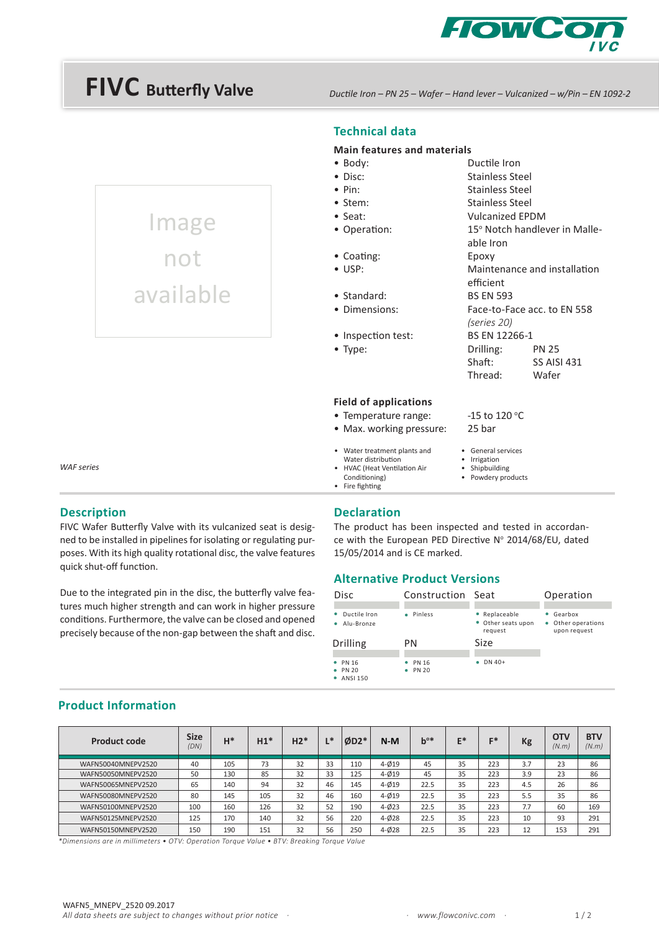

# **FIVC Butterfly Valve**

Image

not

available

*Ductile Iron – PN 25 – Wafer – Hand lever – Vulcanized – w/Pin – EN 1092-2*

# **Technical data**

# **Main features and materials**

|                      | <u>ivialli leatules aliu liiatellais</u>                                           |                                                  |                               |  |  |  |
|----------------------|------------------------------------------------------------------------------------|--------------------------------------------------|-------------------------------|--|--|--|
|                      | $\bullet$ Body:                                                                    | Ductile Iron                                     |                               |  |  |  |
|                      | $\bullet$ Disc:                                                                    | <b>Stainless Steel</b>                           |                               |  |  |  |
|                      | $\bullet$ Pin:                                                                     | <b>Stainless Steel</b>                           |                               |  |  |  |
|                      | • Stem:                                                                            | <b>Stainless Steel</b>                           |                               |  |  |  |
|                      | $\bullet$ Seat:                                                                    | <b>Vulcanized EPDM</b>                           |                               |  |  |  |
|                      | • Operation:                                                                       | able Iron                                        | 15° Notch handlever in Malle- |  |  |  |
|                      | • Coating:                                                                         | Epoxy                                            |                               |  |  |  |
|                      | $\bullet$ USP:                                                                     | efficient                                        | Maintenance and installation  |  |  |  |
|                      | • Standard:                                                                        | <b>BS EN 593</b>                                 |                               |  |  |  |
|                      | • Dimensions:                                                                      | (series 20)                                      | Face-to-Face acc. to EN 558   |  |  |  |
|                      | • Inspection test:                                                                 | BS EN 12266-1                                    |                               |  |  |  |
|                      | $\bullet$ Type:                                                                    | Drilling:                                        | <b>PN 25</b>                  |  |  |  |
|                      |                                                                                    | Shaft:                                           | <b>SS AISI 431</b>            |  |  |  |
|                      |                                                                                    | Thread:                                          | Wafer                         |  |  |  |
|                      | <b>Field of applications</b>                                                       |                                                  |                               |  |  |  |
| • Temperature range: |                                                                                    | -15 to 120 $^{\circ}$ C                          |                               |  |  |  |
|                      | • Max. working pressure:                                                           | 25 bar                                           |                               |  |  |  |
|                      | • Water treatment plants and<br>Water distribution<br>• HVAC (Heat Ventilation Air | General services<br>Irrigation<br>• Shipbuilding |                               |  |  |  |

*WAF series* 

#### **Description**

FIVC Wafer Butterfly Valve with its vulcanized seat is designed to be installed in pipelines for isolating or regulating purposes. With its high quality rotational disc, the valve features quick shut-off function.

Due to the integrated pin in the disc, the butterfly valve features much higher strength and can work in higher pressure conditions. Furthermore, the valve can be closed and opened precisely because of the non-gap between the shaft and disc.

#### **Declaration**

Conditioning) • Fire fighting

The product has been inspected and tested in accordance with the European PED Directive Nº 2014/68/EU, dated 15/05/2014 and is CE marked.

• Powdery products

## **Alternative Product Versions**

| <b>Disc</b>                | Construction Seat |                                                | Operation                                     |
|----------------------------|-------------------|------------------------------------------------|-----------------------------------------------|
| Ductile Iron<br>Alu-Bronze | · Pinless         | • Replaceable<br>• Other seats upon<br>request | Gearbox<br>• Other operations<br>upon request |
|                            |                   |                                                |                                               |
| <b>Drilling</b>            | PN                | Size                                           |                                               |

|  |  |  | <b>Product Information</b> |
|--|--|--|----------------------------|
|--|--|--|----------------------------|

| <b>Product code</b> | <b>Size</b><br>(DN) | $H^*$ | $H1*$ | $H2*$ | $\blacksquare$<br><b>.</b> | $ØD2*$ | $N-M$     | $b^{o*}$ | E* | 日本  | Kg  | <b>OTV</b><br>(N.m) | <b>BTV</b><br>(N.m) |
|---------------------|---------------------|-------|-------|-------|----------------------------|--------|-----------|----------|----|-----|-----|---------------------|---------------------|
| WAFN50040MNEPV2520  | 40                  | 105   | 73    | 32    | 33                         | 110    | $4 - 019$ | 45       | 35 | 223 | 3.7 | 23                  | 86                  |
| WAFN50050MNEPV2520  | 50                  | 130   | 85    | 32    | 33                         | 125    | $4 - 019$ | 45       | 35 | 223 | 3.9 | 23                  | 86                  |
| WAFN50065MNEPV2520  | 65                  | 140   | 94    | 32    | 46                         | 145    | $4 - 019$ | 22.5     | 35 | 223 | 4.5 | 26                  | 86                  |
| WAFN50080MNEPV2520  | 80                  | 145   | 105   | 32    | 46                         | 160    | $4 - 019$ | 22.5     | 35 | 223 | 5.5 | 35                  | 86                  |
| WAFN50100MNEPV2520  | 100                 | 160   | 126   | 32    | 52                         | 190    | $4 - 023$ | 22.5     | 35 | 223 | 7.7 | 60                  | 169                 |
| WAFN50125MNEPV2520  | 125                 | 170   | 140   | 32    | 56                         | 220    | $4 - 028$ | 22.5     | 35 | 223 | 10  | 93                  | 291                 |
| WAFN50150MNEPV2520  | 150                 | 190   | 151   | 32    | 56                         | 250    | $4 - 028$ | 22.5     | 35 | 223 | 12  | 153                 | 291                 |

*\*Dimensions are in millimeters • OTV: Operation Torque Value • BTV: Breaking Torque Value*